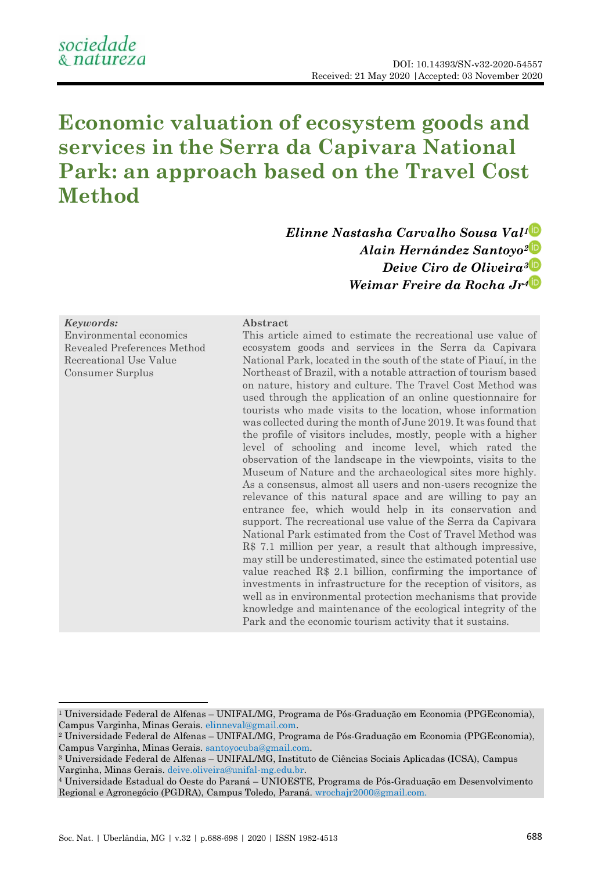# **Economic valuation of ecosystem goods and services in the Serra da Capivara National Park: an approach based on the Travel Cost Method**

*Elinne Nastasha Carvalho Sousa Val<sup>1</sup> Alain Hernández Santoyo<sup>2</sup> Deive Ciro de Oliveira<sup>3</sup> Weimar Freire da Rocha Jr<sup>4</sup>*

### *Keywords:*

Environmental economics Revealed Preferences Method Recreational Use Value Consumer Surplus

#### **Abstract**

This article aimed to estimate the recreational use value of ecosystem goods and services in the Serra da Capivara National Park, located in the south of the state of Piauí, in the Northeast of Brazil, with a notable attraction of tourism based on nature, history and culture. The Travel Cost Method was used through the application of an online questionnaire for tourists who made visits to the location, whose information was collected during the month of June 2019. It was found that the profile of visitors includes, mostly, people with a higher level of schooling and income level, which rated the observation of the landscape in the viewpoints, visits to the Museum of Nature and the archaeological sites more highly. As a consensus, almost all users and non-users recognize the relevance of this natural space and are willing to pay an entrance fee, which would help in its conservation and support. The recreational use value of the Serra da Capivara National Park estimated from the Cost of Travel Method was R\$ 7.1 million per year, a result that although impressive, may still be underestimated, since the estimated potential use value reached R\$ 2.1 billion, confirming the importance of investments in infrastructure for the reception of visitors, as well as in environmental protection mechanisms that provide knowledge and maintenance of the ecological integrity of the Park and the economic tourism activity that it sustains.

<sup>1</sup> Universidade Federal de Alfenas – UNIFAL/MG, Programa de Pós-Graduação em Economia (PPGEconomia), Campus Varginha, Minas Gerais[. elinneval@gmail.com.](file:///C:/Users/basta/AppData/Local/Temp/elinneval@gmail.com)

<sup>2</sup> Universidade Federal de Alfenas – UNIFAL/MG, Programa de Pós-Graduação em Economia (PPGEconomia), Campus Varginha, Minas Gerais[. santoyocuba@gmail.com.](file:///C:/Users/basta/AppData/Local/Temp/santoyocuba@gmail.com)

<sup>3</sup> Universidade Federal de Alfenas – UNIFAL/MG, Instituto de Ciências Sociais Aplicadas (ICSA), Campus Varginha, Minas Gerais. [deive.oliveira@unifal-mg.edu.br.](file:///C:/Users/basta/AppData/Local/Temp/deive.oliveira@unifal-mg.edu.br)

<sup>4</sup> Universidade Estadual do Oeste do Paraná – UNIOESTE, Programa de Pós-Graduação em Desenvolvimento Regional e Agronegócio (PGDRA), Campus Toledo, Paraná[. wrochajr2000@gmail.com.](file:///C:/Users/basta/AppData/Local/Temp/wrochajr2000@gmail.com)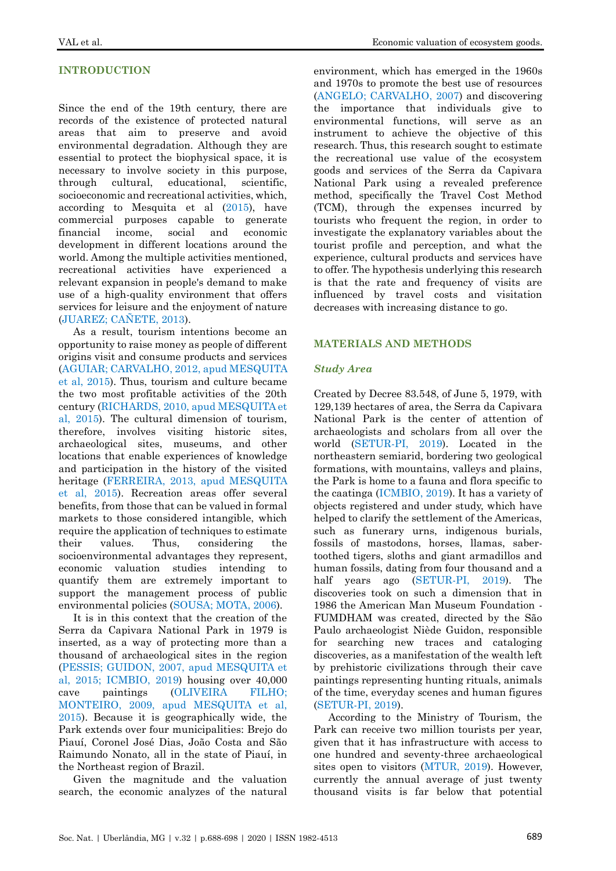# **INTRODUCTION**

Since the end of the 19th century, there are records of the existence of protected natural areas that aim to preserve and avoid environmental degradation. Although they are essential to protect the biophysical space, it is necessary to involve society in this purpose, through cultural, educational, scientific, socioeconomic and recreational activities, which, according to Mesquita et al [\(2015\)](#page-10-0), have commercial purposes capable to generate financial income, social and economic development in different locations around the world. Among the multiple activities mentioned, recreational activities have experienced a relevant expansion in people's demand to make use of a high-quality environment that offers services for leisure and the enjoyment of nature [\(JUAREZ; CAÑETE, 2013\)](#page-10-1).

As a result, tourism intentions become an opportunity to raise money as people of different origins visit and consume products and services (AGUIAR; [CARVALHO, 2012, apud MESQUITA](#page-10-0)  [et al, 2015\)](#page-10-0). Thus, tourism and culture became the two most profitable activities of the 20th century [\(RICHARDS, 2010, apud MESQUITA et](#page-10-0)  [al, 2015\)](#page-10-0). The cultural dimension of tourism, therefore, involves visiting historic sites, archaeological sites, museums, and other locations that enable experiences of knowledge and participation in the history of the visited heritage [\(FERREIRA, 2013, apud MESQUITA](#page-10-0)  [et al, 2015\)](#page-10-0). Recreation areas offer several benefits, from those that can be valued in formal markets to those considered intangible, which require the application of techniques to estimate their values. Thus, considering the socioenvironmental advantages they represent, economic valuation studies intending to quantify them are extremely important to support the management process of public environmental policies [\(SOUSA; MOTA, 2006\)](#page-10-2).

It is in this context that the creation of the Serra da Capivara National Park in 1979 is inserted, as a way of protecting more than a thousand of archaeological sites in the region [\(PESSIS; GUIDON, 2007, apud MESQUITA et](#page-10-0)  [al, 2015;](#page-10-0) [ICMBIO, 2019\)](#page-9-0) housing over 40,000 cave paintings [\(OLIVEIRA FILHO;](#page-10-0)  [MONTEIRO, 2009, apud MESQUITA et al,](#page-10-0)  [2015\)](#page-10-0). Because it is geographically wide, the Park extends over four municipalities: Brejo do Piauí, Coronel José Dias, João Costa and São Raimundo Nonato, all in the state of Piauí, in the Northeast region of Brazil.

Given the magnitude and the valuation search, the economic analyzes of the natural

environment, which has emerged in the 1960s and 1970s to promote the best use of resources [\(ANGELO; CARVALHO, 2007\)](#page-9-1) and discovering the importance that individuals give to environmental functions, will serve as an instrument to achieve the objective of this research. Thus, this research sought to estimate the recreational use value of the ecosystem goods and services of the Serra da Capivara National Park using a revealed preference method, specifically the Travel Cost Method (TCM), through the expenses incurred by tourists who frequent the region, in order to investigate the explanatory variables about the tourist profile and perception, and what the experience, cultural products and services have to offer. The hypothesis underlying this research is that the rate and frequency of visits are influenced by travel costs and visitation decreases with increasing distance to go.

## **MATERIALS AND METHODS**

## *Study Area*

Created by Decree 83.548, of June 5, 1979, with 129,139 hectares of area, the Serra da Capivara National Park is the center of attention of archaeologists and scholars from all over the world [\(SETUR-PI, 2019\)](#page-10-3). Located in the northeastern semiarid, bordering two geological formations, with mountains, valleys and plains, the Park is home to a fauna and flora specific to the caatinga [\(ICMBIO, 2019\)](#page-9-0). It has a variety of objects registered and under study, which have helped to clarify the settlement of the Americas, such as funerary urns, indigenous burials, fossils of mastodons, horses, llamas, sabertoothed tigers, sloths and giant armadillos and human fossils, dating from four thousand and a half years ago [\(SETUR-PI, 2019\)](#page-10-3). The discoveries took on such a dimension that in 1986 the American Man Museum Foundation - FUMDHAM was created, directed by the São Paulo archaeologist Niède Guidon, responsible for searching new traces and cataloging discoveries, as a manifestation of the wealth left by prehistoric civilizations through their cave paintings representing hunting rituals, animals of the time, everyday scenes and human figures [\(SETUR-PI, 2019\)](#page-10-3).

According to the Ministry of Tourism, the Park can receive two million tourists per year, given that it has infrastructure with access to one hundred and seventy-three archaeological sites open to visitors [\(MTUR, 2019\)](#page-10-4). However, currently the annual average of just twenty thousand visits is far below that potential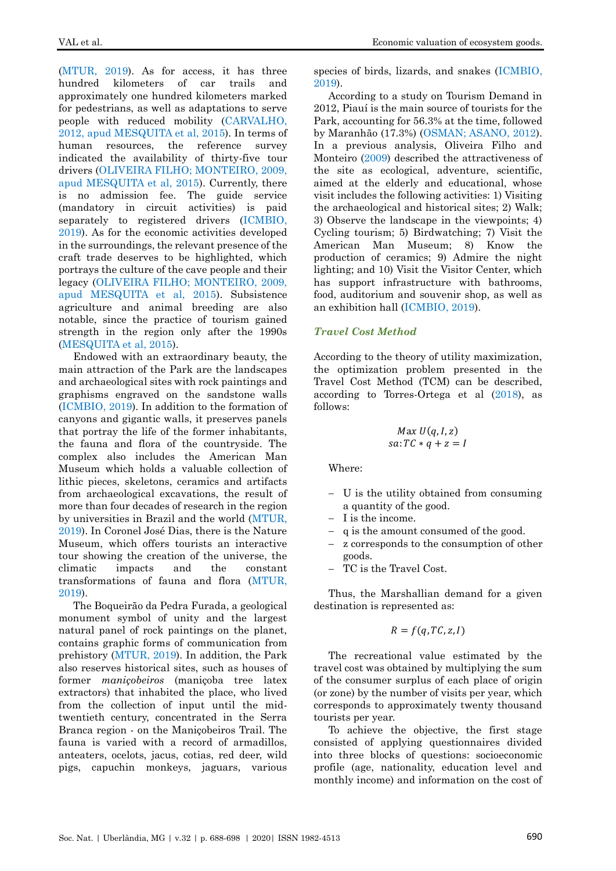[\(MTUR, 2019\)](#page-10-4). As for access, it has three hundred kilometers of car trails and approximately one hundred kilometers marked for pedestrians, as well as adaptations to serve people with reduced mobility [\(CARVALHO,](#page-10-0)  [2012, apud MESQUITA et al, 2015\)](#page-10-0). In terms of human resources, the reference survey indicated the availability of thirty-five tour drivers [\(OLIVEIRA FILHO; MONTEIRO, 2009,](#page-10-0)  [apud MESQUITA et al, 2015\)](#page-10-0). Currently, there is no admission fee. The guide service (mandatory in circuit activities) is paid separately to registered drivers [\(ICMBIO,](#page-9-0)  [2019\)](#page-9-0). As for the economic activities developed in the surroundings, the relevant presence of the craft trade deserves to be highlighted, which portrays the culture of the cave people and their legacy [\(OLIVEIRA FILHO; MONTEIRO, 2009,](#page-10-0)  [apud MESQUITA et al, 2015\)](#page-10-0). Subsistence agriculture and animal breeding are also notable, since the practice of tourism gained strength in the region only after the 1990s [\(MESQUITA et al, 2015\)](#page-10-0).

Endowed with an extraordinary beauty, the main attraction of the Park are the landscapes and archaeological sites with rock paintings and graphisms engraved on the sandstone walls [\(ICMBIO, 2019\)](#page-9-0). In addition to the formation of canyons and gigantic walls, it preserves panels that portray the life of the former inhabitants, the fauna and flora of the countryside. The complex also includes the American Man Museum which holds a valuable collection of lithic pieces, skeletons, ceramics and artifacts from archaeological excavations, the result of more than four decades of research in the region by universities in Brazil and the world [\(MTUR,](#page-10-4)  [2019\)](#page-10-4). In Coronel José Dias, there is the Nature Museum, which offers tourists an interactive tour showing the creation of the universe, the climatic impacts and the constant transformations of fauna and flora [\(MTUR,](#page-10-4)  [2019\)](#page-10-4).

The Boqueirão da Pedra Furada, a geological monument symbol of unity and the largest natural panel of rock paintings on the planet, contains graphic forms of communication from prehistory [\(MTUR, 2019\)](#page-10-4). In addition, the Park also reserves historical sites, such as houses of former *maniçobeiros* (maniçoba tree latex extractors) that inhabited the place, who lived from the collection of input until the midtwentieth century, concentrated in the Serra Branca region - on the Maniçobeiros Trail. The fauna is varied with a record of armadillos, anteaters, ocelots, jacus, cotias, red deer, wild pigs, capuchin monkeys, jaguars, various species of birds, lizards, and snakes [\(ICMBIO,](#page-9-0)  [2019\)](#page-9-0).

According to a study on Tourism Demand in 2012, Piauí is the main source of tourists for the Park, accounting for 56.3% at the time, followed by Maranhão (17.3%) [\(OSMAN; ASANO, 2012\)](#page-10-5). In a previous analysis, Oliveira Filho and Monteiro [\(2009\)](#page-10-6) described the attractiveness of the site as ecological, adventure, scientific, aimed at the elderly and educational, whose visit includes the following activities: 1) Visiting the archaeological and historical sites; 2) Walk; 3) Observe the landscape in the viewpoints; 4) Cycling tourism; 5) Birdwatching; 7) Visit the American Man Museum; 8) Know the production of ceramics; 9) Admire the night lighting; and 10) Visit the Visitor Center, which has support infrastructure with bathrooms, food, auditorium and souvenir shop, as well as an exhibition hall [\(ICMBIO, 2019\)](#page-9-0).

## *Travel Cost Method*

According to the theory of utility maximization, the optimization problem presented in the Travel Cost Method (TCM) can be described, according to Torres-Ortega et al [\(2018\)](#page-10-7), as follows:

$$
Max U(q, I, z)
$$
  
sa:  $TC * q + z = I$ 

Where:

- − U is the utility obtained from consuming a quantity of the good.
- − I is the income.
- q is the amount consumed of the good.
- z corresponds to the consumption of other goods.
- TC is the Travel Cost.

Thus, the Marshallian demand for a given destination is represented as:

$$
R = f(q, TC, z, I)
$$

The recreational value estimated by the travel cost was obtained by multiplying the sum of the consumer surplus of each place of origin (or zone) by the number of visits per year, which corresponds to approximately twenty thousand tourists per year.

To achieve the objective, the first stage consisted of applying questionnaires divided into three blocks of questions: socioeconomic profile (age, nationality, education level and monthly income) and information on the cost of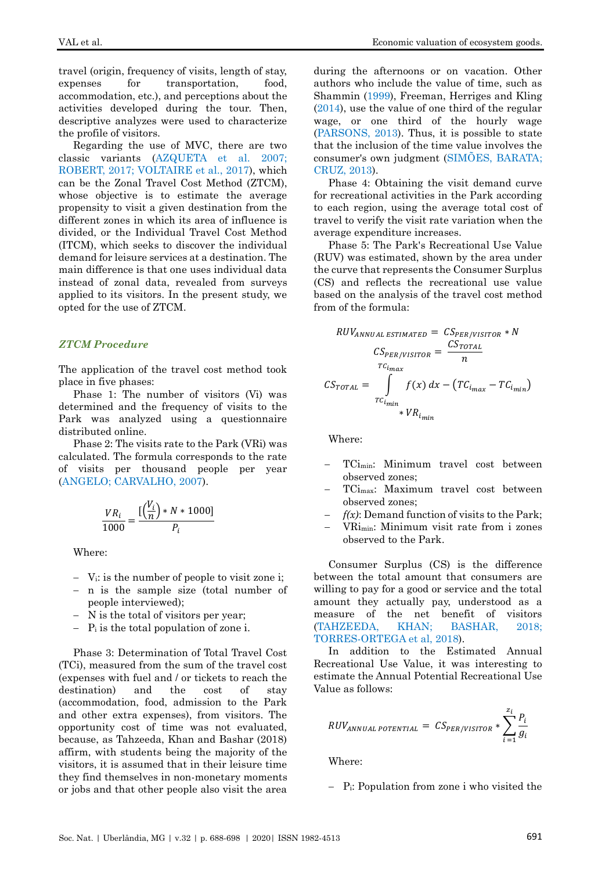travel (origin, frequency of visits, length of stay, expenses for transportation, food, accommodation, etc.), and perceptions about the activities developed during the tour. Then, descriptive analyzes were used to characterize the profile of visitors.

Regarding the use of MVC, there are two classic variants [\(AZQUETA et al. 2007;](#page-9-2) [ROBERT, 2017;](#page-10-8) [VOLTAIRE et al., 2017\)](#page-10-9), which can be the Zonal Travel Cost Method (ZTCM), whose objective is to estimate the average propensity to visit a given destination from the different zones in which its area of influence is divided, or the Individual Travel Cost Method (ITCM), which seeks to discover the individual demand for leisure services at a destination. The main difference is that one uses individual data instead of zonal data, revealed from surveys applied to its visitors. In the present study, we opted for the use of ZTCM.

## *ZTCM Procedure*

The application of the travel cost method took place in five phases:

Phase 1: The number of visitors (Vi) was determined and the frequency of visits to the Park was analyzed using a questionnaire distributed online.

Phase 2: The visits rate to the Park (VRi) was calculated. The formula corresponds to the rate of visits per thousand people per year [\(ANGELO; CARVALHO, 2007\)](#page-9-1).

$$
\frac{VR_i}{1000} = \frac{[\left(\frac{V_i}{n}\right) * N * 1000]}{P_i}
$$

Where:

- − Vi: is the number of people to visit zone i;
- − n is the sample size (total number of people interviewed);
- N is the total of visitors per year;
- − P<sup>i</sup> is the total population of zone i.

Phase 3: Determination of Total Travel Cost (TCi), measured from the sum of the travel cost (expenses with fuel and / or tickets to reach the destination) and the cost of stay (accommodation, food, admission to the Park and other extra expenses), from visitors. The opportunity cost of time was not evaluated, because, as Tahzeeda, Khan and Bashar (2018) affirm, with students being the majority of the visitors, it is assumed that in their leisure time they find themselves in non-monetary moments or jobs and that other people also visit the area during the afternoons or on vacation. Other authors who include the value of time, such as Shammin [\(1999\)](#page-10-10), Freeman, Herriges and Kling [\(2014\)](#page-9-3), use the value of one third of the regular wage, or one third of the hourly wage [\(PARSONS, 2013\)](#page-10-11). Thus, it is possible to state that the inclusion of the time value involves the consumer's own judgment [\(SIMÕES, BARATA;](#page-10-12) [CRUZ, 2013\)](#page-10-12).

Phase 4: Obtaining the visit demand curve for recreational activities in the Park according to each region, using the average total cost of travel to verify the visit rate variation when the average expenditure increases.

Phase 5: The Park's Recreational Use Value (RUV) was estimated, shown by the area under the curve that represents the Consumer Surplus (CS) and reflects the recreational use value based on the analysis of the travel cost method from of the formula:

$$
RUV_{ANNUAL ESTIMATED} = CS_{PER/VISTOR} * N
$$

$$
CS_{PER/VISTOR} = \frac{CS_{TOTAL}}{n}
$$

$$
CS_{TOTAL} = \int_{TC_{i_{min}}} f(x) dx - (TC_{i_{max}} - TC_{i_{min}})
$$

$$
* VR_{i_{min}} \times VR_{i_{min}}
$$

Where:

- − TCimin: Minimum travel cost between observed zones;
- − TCimax: Maximum travel cost between observed zones;
- $f(x)$ : Demand function of visits to the Park;
- − VRimin: Minimum visit rate from i zones observed to the Park.

Consumer Surplus (CS) is the difference between the total amount that consumers are willing to pay for a good or service and the total amount they actually pay, understood as a measure of the net benefit of visitors [\(TAHZEEDA, KHAN;](#page-10-13) BASHAR, 2018; [TORRES-ORTEGA et al, 2018\)](#page-10-7).

In addition to the Estimated Annual Recreational Use Value, it was interesting to estimate the Annual Potential Recreational Use Value as follows:

$$
RUV_{ANNUAL\ POTENTIAL} = CS_{PER/VISTOR} * \sum_{i=1}^{z_i} \frac{P_i}{g_i}
$$

Where:

− Pi: Population from zone i who visited the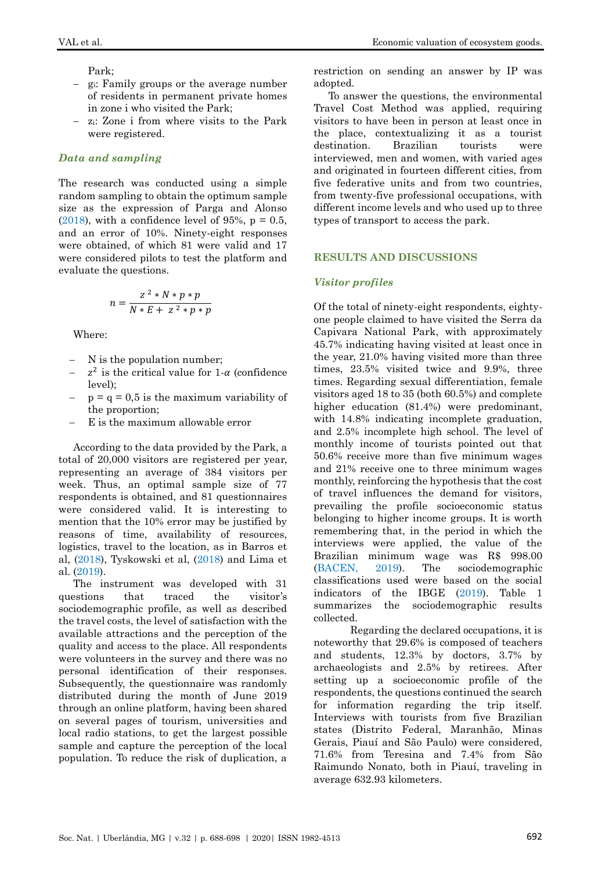Park;

- − gi: Family groups or the average number of residents in permanent private homes in zone i who visited the Park;
- − zi: Zone i from where visits to the Park were registered.

## *Data and sampling*

The research was conducted using a simple random sampling to obtain the optimum sample size as the expression of Parga and Alonso [\(2018\)](#page-10-14), with a confidence level of 95%,  $p = 0.5$ , and an error of 10%. Ninety-eight responses were obtained, of which 81 were valid and 17 were considered pilots to test the platform and evaluate the questions.

$$
n = \frac{z^2 * N * p * p}{N * E + z^2 * p * p}
$$

Where:

- N is the population number;
- $z^2$  is the critical value for 1- $\alpha$  (confidence  $\vert \vert_{\text{ev}}$
- $p = q = 0.5$  is the maximum variability of the proportion;
- E is the maximum allowable error

According to the data provided by the Park, a total of 20,000 visitors are registered per year, representing an average of 384 visitors per week. Thus, an optimal sample size of 77 respondents is obtained, and 81 questionnaires were considered valid. It is interesting to mention that the 10% error may be justified by reasons of time, availability of resources, logistics, travel to the location, as in Barros et al, [\(2018\)](#page-9-4), Tyskowski et al, [\(2018\)](#page-10-15) and Lima et al. [\(2019\)](#page-10-16).

The instrument was developed with 31 questions that traced the visitor's sociodemographic profile, as well as described the travel costs, the level of satisfaction with the available attractions and the perception of the quality and access to the place. All respondents were volunteers in the survey and there was no personal identification of their responses. Subsequently, the questionnaire was randomly distributed during the month of June 2019 through an online platform, having been shared on several pages of tourism, universities and local radio stations, to get the largest possible sample and capture the perception of the local population. To reduce the risk of duplication, a restriction on sending an answer by IP was adopted.

To answer the questions, the environmental Travel Cost Method was applied, requiring visitors to have been in person at least once in the place, contextualizing it as a tourist destination. Brazilian tourists were interviewed, men and women, with varied ages and originated in fourteen different cities, from five federative units and from two countries, from twenty-five professional occupations, with different income levels and who used up to three types of transport to access the park.

# **RESULTS AND DISCUSSIONS**

## *Visitor profiles*

Of the total of ninety-eight respondents, eightyone people claimed to have visited the Serra da Capivara National Park, with approximately 45.7% indicating having visited at least once in the year, 21.0% having visited more than three times, 23.5% visited twice and 9.9%, three times. Regarding sexual differentiation, female visitors aged 18 to 35 (both 60.5%) and complete higher education  $(81.4%)$  were predominant, with 14.8% indicating incomplete graduation, and 2.5% incomplete high school. The level of monthly income of tourists pointed out that 50.6% receive more than five minimum wages and 21% receive one to three minimum wages monthly, reinforcing the hypothesis that the cost of travel influences the demand for visitors, prevailing the profile socioeconomic status belonging to higher income groups. It is worth remembering that, in the period in which the interviews were applied, the value of the Brazilian minimum wage was R\$ 998.00 [\(BACEN, 2019\)](#page-9-5). The sociodemographic classifications used were based on the social indicators of the IBGE [\(2019\)](#page-9-6). Table 1 summarizes the sociodemographic results collected.

Regarding the declared occupations, it is noteworthy that 29.6% is composed of teachers and students, 12.3% by doctors, 3.7% by archaeologists and 2.5% by retirees. After setting up a socioeconomic profile of the respondents, the questions continued the search for information regarding the trip itself. Interviews with tourists from five Brazilian states (Distrito Federal, Maranhão, Minas Gerais, Piauí and São Paulo) were considered, 71.6% from Teresina and 7.4% from São Raimundo Nonato, both in Piauí, traveling in average 632.93 kilometers.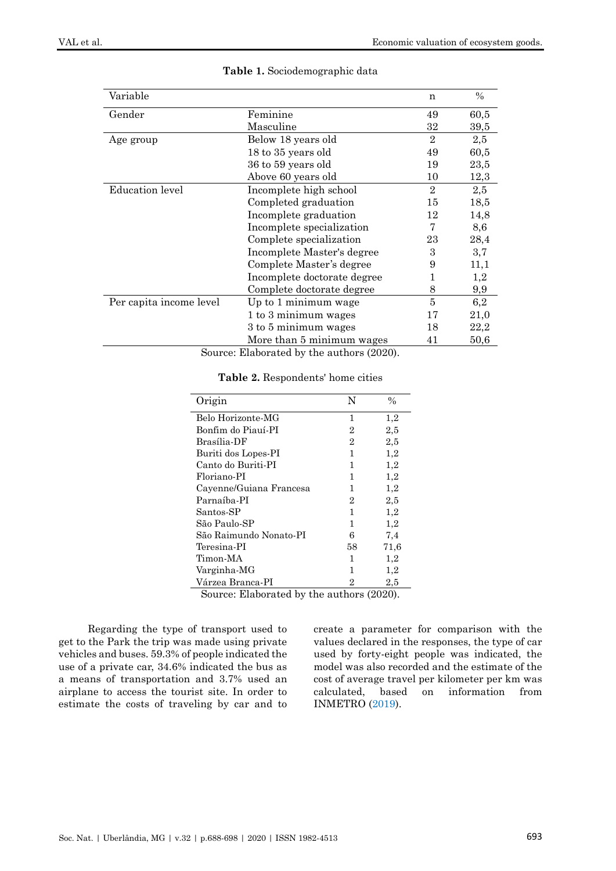| Variable                |                             | n              | $\%$ |
|-------------------------|-----------------------------|----------------|------|
| Gender                  | Feminine                    | 49             | 60,5 |
|                         | Masculine                   | 32             | 39,5 |
| Age group               | Below 18 years old          | $\overline{2}$ | 2,5  |
|                         | 18 to 35 years old          | 49             | 60,5 |
|                         | 36 to 59 years old          | 19             | 23,5 |
|                         | Above 60 years old          | 10             | 12,3 |
| <b>Education</b> level  | Incomplete high school      | $\overline{2}$ | 2,5  |
|                         | Completed graduation        | 15             | 18,5 |
|                         | Incomplete graduation       | 12             | 14,8 |
|                         | Incomplete specialization   | 7              | 8,6  |
|                         | Complete specialization     | 23             | 28,4 |
|                         | Incomplete Master's degree  | 3              | 3,7  |
|                         | Complete Master's degree    | 9              | 11,1 |
|                         | Incomplete doctorate degree | 1              | 1,2  |
|                         | Complete doctorate degree   | 8              | 9,9  |
| Per capita income level | Up to 1 minimum wage        | 5              | 6,2  |
|                         | 1 to 3 minimum wages        | 17             | 21,0 |
|                         | 3 to 5 minimum wages        | 18             | 22,2 |
|                         | More than 5 minimum wages   | 41             | 50,6 |

## **Table 1.** Sociodemographic data

Source: Elaborated by the authors (2020).

| Origin                  | N              | $\frac{0}{0}$ |
|-------------------------|----------------|---------------|
| Belo Horizonte-MG       | 1              | 1,2           |
| Bonfim do Piauí-PI      | 2              | 2,5           |
| Brasília-DF             | $\overline{2}$ | 2,5           |
| Buriti dos Lopes-PI     | 1              | 1,2           |
| Canto do Buriti-PI      | 1              | 1,2           |
| Floriano-PI             | 1              | 1,2           |
| Cayenne/Guiana Francesa | 1              | 1,2           |
| Parnaíba-PI             | 2              | 2,5           |
| Santos-SP               | 1              | 1,2           |
| São Paulo-SP            | 1              | 1,2           |
| São Raimundo Nonato-PI  | 6              | 7,4           |
| Teresina-PI             | 58             | 71,6          |
| Timon-MA                | 1              | 1,2           |
| Varginha-MG             | 1              | 1,2           |
| Várzea Branca-PI        | 2              | $^{2,5}$      |

#### **Table 2.** Respondents' home cities

Source: Elaborated by the authors (2020).

Regarding the type of transport used to get to the Park the trip was made using private vehicles and buses. 59.3% of people indicated the use of a private car, 34.6% indicated the bus as a means of transportation and 3.7% used an airplane to access the tourist site. In order to estimate the costs of traveling by car and to create a parameter for comparison with the values declared in the responses, the type of car used by forty-eight people was indicated, the model was also recorded and the estimate of the cost of average travel per kilometer per km was calculated, based on information from INMETRO [\(2019\)](#page-9-7).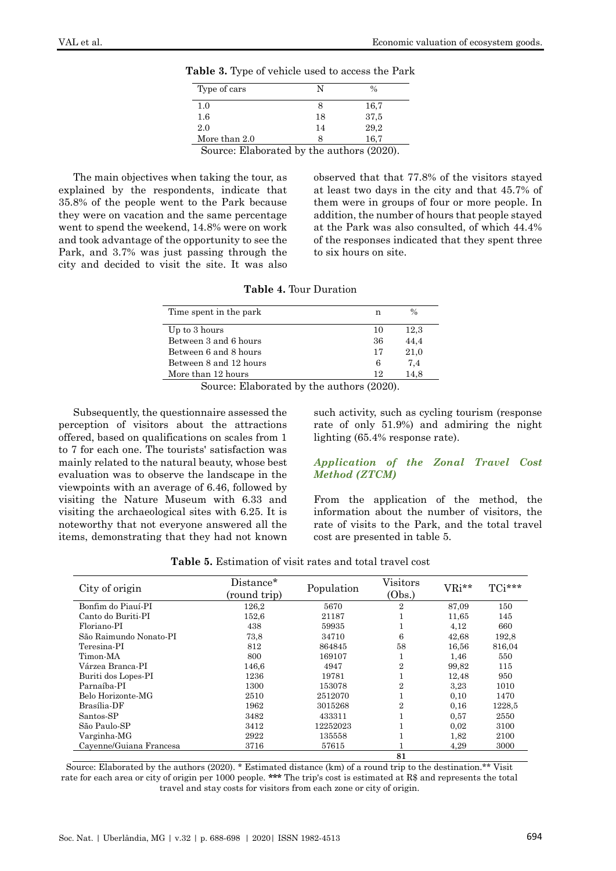| Type of cars  | N                                                          | $\frac{0}{0}$ |
|---------------|------------------------------------------------------------|---------------|
| 1.0           |                                                            | 16.7          |
| 1.6           | 18                                                         | 37,5          |
| 2.0           | 14                                                         | 29,2          |
| More than 2.0 |                                                            | 16,7          |
| $\sim$<br>T11 | $\cdot$ $\cdot$ $\cdot$ $\cdot$<br>$\cdot$ 1<br>$\cdot$ 1. | (0.001)       |

**Table 3.** Type of vehicle used to access the Park

Source: Elaborated by the authors (2020).

The main objectives when taking the tour, as explained by the respondents, indicate that 35.8% of the people went to the Park because they were on vacation and the same percentage went to spend the weekend, 14.8% were on work and took advantage of the opportunity to see the Park, and 3.7% was just passing through the city and decided to visit the site. It was also observed that that 77.8% of the visitors stayed at least two days in the city and that 45.7% of them were in groups of four or more people. In addition, the number of hours that people stayed at the Park was also consulted, of which 44.4% of the responses indicated that they spent three to six hours on site.

**Table 4.** Tour Duration

| Time spent in the park | n  | $\frac{0}{0}$ |
|------------------------|----|---------------|
| Up to 3 hours          | 10 | 12,3          |
| Between 3 and 6 hours  | 36 | 44.4          |
| Between 6 and 8 hours  | 17 | 21.0          |
| Between 8 and 12 hours | 6  | 7.4           |
| More than 12 hours     | 12 | 14.8          |
|                        |    |               |

Source: Elaborated by the authors (2020).

Subsequently, the questionnaire assessed the perception of visitors about the attractions offered, based on qualifications on scales from 1 to 7 for each one. The tourists' satisfaction was mainly related to the natural beauty, whose best evaluation was to observe the landscape in the viewpoints with an average of 6.46, followed by visiting the Nature Museum with 6.33 and visiting the archaeological sites with 6.25. It is noteworthy that not everyone answered all the items, demonstrating that they had not known

such activity, such as cycling tourism (response rate of only 51.9%) and admiring the night lighting (65.4% response rate).

#### *Application of the Zonal Travel Cost Method (ZTCM)*

From the application of the method, the information about the number of visitors, the rate of visits to the Park, and the total travel cost are presented in table 5.

**Table 5.** Estimation of visit rates and total travel cost

| City of origin          | Distance*<br>(round trip) | Population | Visitors<br>(Obs.) | VRi** | TCi*** |
|-------------------------|---------------------------|------------|--------------------|-------|--------|
| Bonfim do Piauí-PI      | 126,2                     | 5670       | 2                  | 87,09 | 150    |
| Canto do Buriti-PI      | 152,6                     | 21187      | Ŧ.                 | 11,65 | 145    |
| Floriano-PI             | 438                       | 59935      |                    | 4.12  | 660    |
| São Raimundo Nonato-PI  | 73.8                      | 34710      | 6                  | 42,68 | 192.8  |
| Teresina-PI             | 812                       | 864845     | 58                 | 16,56 | 816,04 |
| Timon-MA                | 800                       | 169107     | T.                 | 1,46  | 550    |
| Várzea Branca-PI        | 146.6                     | 4947       | $\overline{2}$     | 99.82 | 115    |
| Buriti dos Lopes-PI     | 1236                      | 19781      | T                  | 12,48 | 950    |
| Parnaíba-PI             | 1300                      | 153078     | $\overline{2}$     | 3.23  | 1010   |
| Belo Horizonte-MG       | 2510                      | 2512070    | T                  | 0,10  | 1470   |
| Brasília-DF             | 1962                      | 3015268    | $\overline{2}$     | 0.16  | 1228.5 |
| Santos-SP               | 3482                      | 433311     | T                  | 0.57  | 2550   |
| São Paulo-SP            | 3412                      | 12252023   |                    | 0,02  | 3100   |
| Varginha-MG             | 2922                      | 135558     |                    | 1,82  | 2100   |
| Cayenne/Guiana Francesa | 3716                      | 57615      |                    | 4.29  | 3000   |
|                         |                           |            | 81                 |       |        |

Source: Elaborated by the authors (2020). \* Estimated distance (km) of a round trip to the destination.\*\* Visit rate for each area or city of origin per 1000 people. **\*\*\*** The trip's cost is estimated at R\$ and represents the total travel and stay costs for visitors from each zone or city of origin.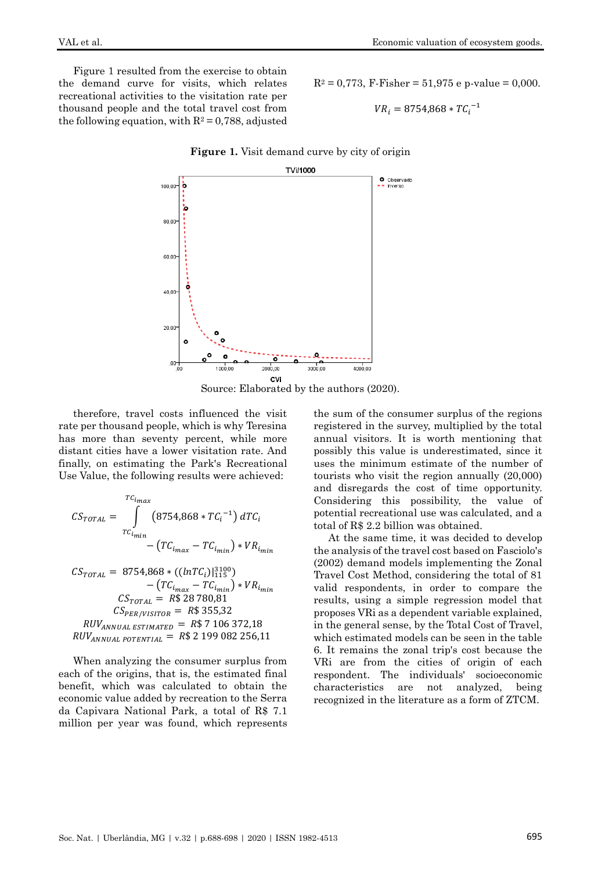Figure 1 resulted from the exercise to obtain the demand curve for visits, which relates recreational activities to the visitation rate per thousand people and the total travel cost from the following equation, with  $R^2 = 0.788$ , adjusted

 $R^2 = 0.773$ , F-Fisher = 51,975 e p-value = 0,000.

$$
VR_i = 8754,868 * TC_i^{-1}
$$



**Figure 1.** Visit demand curve by city of origin



therefore, travel costs influenced the visit rate per thousand people, which is why Teresina has more than seventy percent, while more distant cities have a lower visitation rate. And finally, on estimating the Park's Recreational Use Value, the following results were achieved:

$$
CS_{TOTAL} = \int_{TC_{i_{min}}}^{TC_{i_{max}}} (8754,868 * TC_i^{-1}) dTC_i
$$

$$
- (TC_{i_{max}} - TC_{i_{min}}) * VR_{i_{min}}
$$

 $CS_{TOTAL} = 8754,868 * ((lnTC_i)|_{115}^{3100})$  $-(TC_{i_{max}}-TC_{i_{min}})*VR_{i_{min}}$  $CS_{TOTAL} = R$ 28 780,81$  $CS_{PER/VISTOR} = R$355,32$  $RUV_{ANNUAL ESTIMATED}$  = R\$ 7 106 372,18  $RUV_{ANNUAL\ POTENTIAL}$  = R\$ 2 199 082 256,11

When analyzing the consumer surplus from each of the origins, that is, the estimated final benefit, which was calculated to obtain the economic value added by recreation to the Serra da Capivara National Park, a total of R\$ 7.1 million per year was found, which represents the sum of the consumer surplus of the regions registered in the survey, multiplied by the total annual visitors. It is worth mentioning that possibly this value is underestimated, since it uses the minimum estimate of the number of tourists who visit the region annually (20,000) and disregards the cost of time opportunity. Considering this possibility, the value of potential recreational use was calculated, and a total of R\$ 2.2 billion was obtained.

At the same time, it was decided to develop the analysis of the travel cost based on Fasciolo's (2002) demand models implementing the Zonal Travel Cost Method, considering the total of 81 valid respondents, in order to compare the results, using a simple regression model that proposes VRi as a dependent variable explained, in the general sense, by the Total Cost of Travel, which estimated models can be seen in the table 6. It remains the zonal trip's cost because the VRi are from the cities of origin of each respondent. The individuals' socioeconomic characteristics are not analyzed, being recognized in the literature as a form of ZTCM.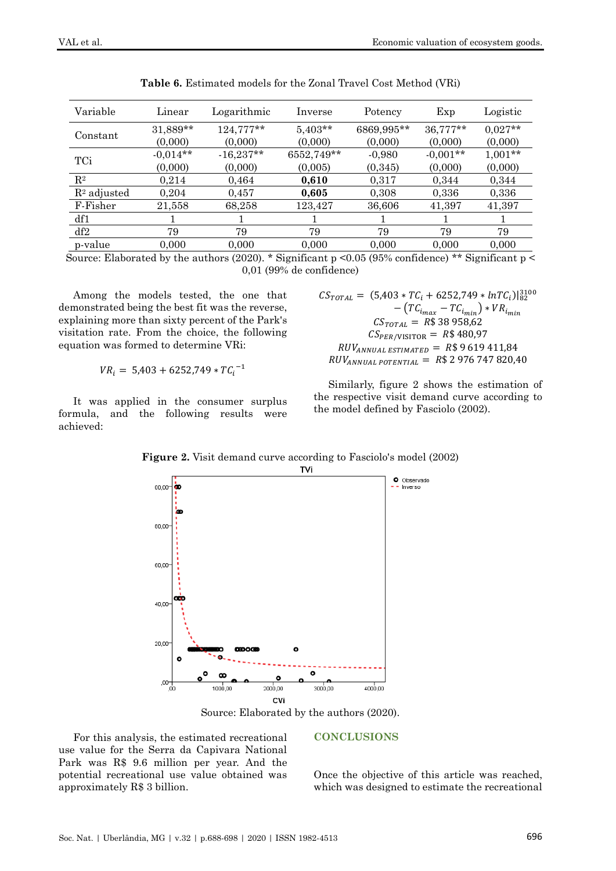| Variable       | Linear     | Logarithmic | Inverse    | Potency    | Exp        | Logistic  |
|----------------|------------|-------------|------------|------------|------------|-----------|
| Constant       | 31,889**   | 124,777**   | $5,403**$  | 6869,995** | 36,777**   | $0.027**$ |
|                | (0,000)    | (0,000)     | (0,000)    | (0,000)    | (0,000)    | (0,000)   |
| TCi            | $-0.014**$ | $-16,237**$ | 6552,749** | $-0,980$   | $-0,001**$ | $1,001**$ |
|                | (0,000)    | (0,000)     | (0,005)    | (0,345)    | (0,000)    | (0,000)   |
| $\mathrm{R}^2$ | 0.214      | 0,464       | 0,610      | 0,317      | 0.344      | 0,344     |
| $R2$ adjusted  | 0,204      | 0,457       | 0,605      | 0,308      | 0,336      | 0,336     |
| F-Fisher       | 21,558     | 68,258      | 123,427    | 36,606     | 41,397     | 41,397    |
| df1            |            |             |            |            |            |           |
| df2            | 79         | 79          | 79         | 79         | 79         | 79        |
| p-value        | 0.000      | 0.000       | 0.000      | 0.000      | 0.000      | 0.000     |

**Table 6.** Estimated models for the Zonal Travel Cost Method (VRi)

Source: Elaborated by the authors (2020). \* Significant p <0.05 (95% confidence) \*\* Significant p < 0,01 (99% de confidence)

Among the models tested, the one that demonstrated being the best fit was the reverse, explaining more than sixty percent of the Park's visitation rate. From the choice, the following equation was formed to determine VRi:

$$
VR_i = 5,403 + 6252,749 * TC_i^{-1}
$$

It was applied in the consumer surplus formula, and the following results were achieved:

 $CS_{TOTAL} = (5,403 * TC_i + 6252,749 * lnTC_i)|_{82}^{3100}$  $-(TC_{i_{max}}-TC_{i_{min}})*VR_{i_{min}}$  $CS_{TOTAL} = R$38 958,62$  $CS_{PER/VISITOR} = R$480,97$  $RUV_{ANNUAL ESTIMATED} = R$ 9 619 411,84$  $RUV_{ANNUAL\ POTENTIAL}$  = R\$ 2 976 747 820,40

Similarly, figure 2 shows the estimation of the respective visit demand curve according to the model defined by Fasciolo (2002).

**Figure 2.** Visit demand curve according to Fasciolo's model (2002)



Source: Elaborated by the authors (2020).

For this analysis, the estimated recreational use value for the Serra da Capivara National Park was R\$ 9.6 million per year. And the potential recreational use value obtained was approximately R\$ 3 billion.

#### **CONCLUSIONS**

Once the objective of this article was reached, which was designed to estimate the recreational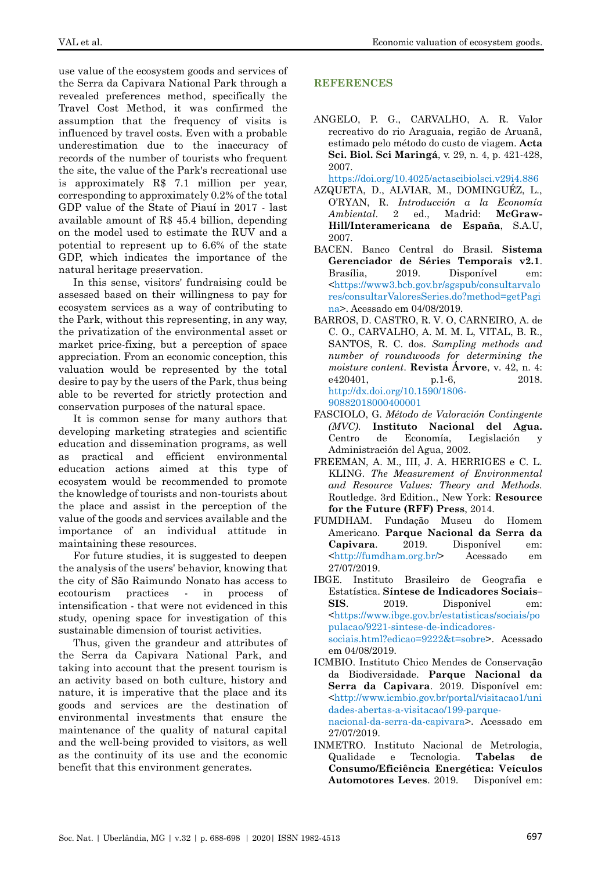use value of the ecosystem goods and services of the Serra da Capivara National Park through a revealed preferences method, specifically the Travel Cost Method, it was confirmed the assumption that the frequency of visits is influenced by travel costs. Even with a probable underestimation due to the inaccuracy of records of the number of tourists who frequent the site, the value of the Park's recreational use is approximately R\$ 7.1 million per year, corresponding to approximately 0.2% of the total GDP value of the State of Piauí in 2017 - last available amount of R\$ 45.4 billion, depending on the model used to estimate the RUV and a potential to represent up to 6.6% of the state GDP, which indicates the importance of the natural heritage preservation.

In this sense, visitors' fundraising could be assessed based on their willingness to pay for ecosystem services as a way of contributing to the Park, without this representing, in any way, the privatization of the environmental asset or market price-fixing, but a perception of space appreciation. From an economic conception, this valuation would be represented by the total desire to pay by the users of the Park, thus being able to be reverted for strictly protection and conservation purposes of the natural space.

It is common sense for many authors that developing marketing strategies and scientific education and dissemination programs, as well as practical and efficient environmental education actions aimed at this type of ecosystem would be recommended to promote the knowledge of tourists and non-tourists about the place and assist in the perception of the value of the goods and services available and the importance of an individual attitude maintaining these resources.

For future studies, it is suggested to deepen the analysis of the users' behavior, knowing that the city of São Raimundo Nonato has access to ecotourism practices - in process of intensification - that were not evidenced in this study, opening space for investigation of this sustainable dimension of tourist activities.

Thus, given the grandeur and attributes of the Serra da Capivara National Park, and taking into account that the present tourism is an activity based on both culture, history and nature, it is imperative that the place and its goods and services are the destination of environmental investments that ensure the maintenance of the quality of natural capital and the well-being provided to visitors, as well as the continuity of its use and the economic benefit that this environment generates.

# **REFERENCES**

<span id="page-9-1"></span>ANGELO, P. G., CARVALHO, A. R. Valor recreativo do rio Araguaia, região de Aruanã, estimado pelo método do custo de viagem. **Acta Sci. Biol. Sci Maringá**, v. 29, n. 4, p. 421-428, 2007.

<https://doi.org/10.4025/actascibiolsci.v29i4.886>

- <span id="page-9-2"></span>AZQUETA, D., ALVIAR, M., DOMINGUÉZ, L., O'RYAN, R. *Introducción a la Economía Ambiental*. 2 ed., Madrid: **McGraw-Hill/Interamericana de España**, S.A.U, 2007.
- <span id="page-9-5"></span>BACEN. Banco Central do Brasil. **Sistema Gerenciador de Séries Temporais v2.1**. Brasília, 2019. Disponível em: [<https://www3.bcb.gov.br/sgspub/consultarvalo](https://www3.bcb.gov.br/sgspub/consultarvalores/consultarValoresSeries.do?method=getPagina) [res/consultarValoresSeries.do?method=getPagi](https://www3.bcb.gov.br/sgspub/consultarvalores/consultarValoresSeries.do?method=getPagina) [na>](https://www3.bcb.gov.br/sgspub/consultarvalores/consultarValoresSeries.do?method=getPagina). Acessado em 04/08/2019.
- <span id="page-9-4"></span>BARROS, D. CASTRO, R. V. O, CARNEIRO, A. de C. O., CARVALHO, A. M. M. L, VITAL, B. R., SANTOS, R. C. dos. *Sampling methods and number of roundwoods for determining the moisture content*. **Revista Árvore**, v. 42, n. 4: e420401, p.1-6, 2018. [http://dx.doi.org/10.1590/1806-](http://dx.doi.org/10.1590/1806-90882018000400001)
- [90882018000400001](http://dx.doi.org/10.1590/1806-90882018000400001) FASCIOLO, G. *Método de Valoración Contingente*
- *(MVC)*. **Instituto Nacional del Agua.**  Centro de Economía, Legislación y Administración del Agua, 2002.
- <span id="page-9-3"></span>FREEMAN, A. M., III, J. A. HERRIGES e C. L. KLING. *The Measurement of Environmental and Resource Values: Theory and Methods.*  Routledge. 3rd Edition., New York: **Resource for the Future (RFF) Press**, 2014.
- FUMDHAM. Fundação Museu do Homem Americano. **Parque Nacional da Serra da Capivara**. 2019. Disponível em: [<http://fumdham.org.br/>](http://fumdham.org.br/) Acessado em 27/07/2019.
- <span id="page-9-6"></span>IBGE. Instituto Brasileiro de Geografia e Estatística. **Síntese de Indicadores Sociais– SIS**. 2019. Disponível em: [<https://www.ibge.gov.br/estatisticas/sociais/po](https://www.ibge.gov.br/estatisticas/sociais/populacao/9221-sintese-de-indicadores-sociais.html?edicao=9222&t=sobre) [pulacao/9221-sintese-de-indicadores](https://www.ibge.gov.br/estatisticas/sociais/populacao/9221-sintese-de-indicadores-sociais.html?edicao=9222&t=sobre)[sociais.html?edicao=9222&t=sobre>](https://www.ibge.gov.br/estatisticas/sociais/populacao/9221-sintese-de-indicadores-sociais.html?edicao=9222&t=sobre). Acessado em 04/08/2019.
- <span id="page-9-0"></span>ICMBIO. Instituto Chico Mendes de Conservação da Biodiversidade. **Parque Nacional da Serra da Capivara**. 2019. Disponível em: [<http://www.icmbio.gov.br/portal/visitacao1/uni](http://www.icmbio.gov.br/portal/visitacao1/unidades-abertas-a-visitacao/199-parque-nacional-da-serra-da-capivara) [dades-abertas-a-visitacao/199-parque](http://www.icmbio.gov.br/portal/visitacao1/unidades-abertas-a-visitacao/199-parque-nacional-da-serra-da-capivara)[nacional-da-serra-da-capivara>](http://www.icmbio.gov.br/portal/visitacao1/unidades-abertas-a-visitacao/199-parque-nacional-da-serra-da-capivara). Acessado em 27/07/2019.
- <span id="page-9-7"></span>INMETRO. Instituto Nacional de Metrologia, Qualidade e Tecnologia. **Tabelas de Consumo/Eficiência Energética: Veículos Automotores Leves**. 2019. Disponível em: